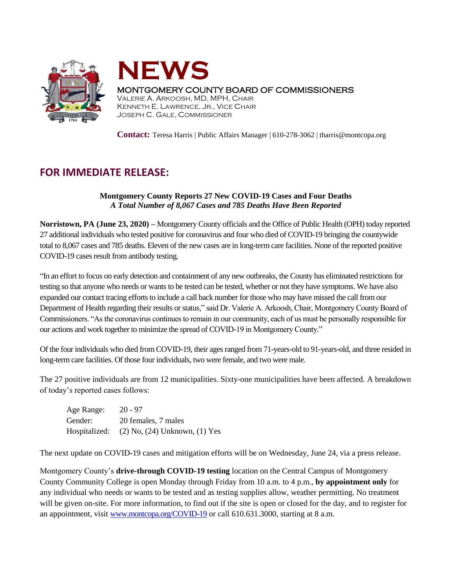



## MONTGOMERY COUNTY BOARD OF COMMISSIONERS

VALERIE A. ARKOOSH, MD, MPH, CHAIR KENNETH E. LAWRENCE, JR., VICE CHAIR JOSEPH C. GALE, COMMISSIONER

**Contact:** Teresa Harris | Public Affairs Manager | 610-278-3062 | tharris@montcopa.org

## **FOR IMMEDIATE RELEASE:**

## **Montgomery County Reports 27 New COVID-19 Cases and Four Deaths** *A Total Number of 8,067 Cases and 785 Deaths Have Been Reported*

**Norristown, PA (June 23, 2020) –** Montgomery County officials and the Office of Public Health (OPH) today reported 27 additional individuals who tested positive for coronavirus and four who died of COVID-19 bringing the countywide total to 8,067 cases and 785 deaths. Eleven of the new cases are in long-term care facilities. None of the reported positive COVID-19 cases result from antibody testing.

"In an effort to focus on early detection and containment of any new outbreaks, the County has eliminated restrictions for testing so that anyone who needs or wants to be tested can be tested, whether or not they have symptoms. We have also expanded our contact tracing efforts to include a call back number for those who may have missed the call from our Department of Health regarding their results or status," said Dr. Valerie A. Arkoosh, Chair, Montgomery County Board of Commissioners. "As the coronavirus continues to remain in our community, each of us must be personally responsible for our actions and work together to minimize the spread of COVID-19 in Montgomery County."

Of the four individuals who died from COVID-19, their ages ranged from 71-years-old to 91-years-old, and three resided in long-term care facilities. Of those four individuals, two were female, and two were male.

The 27 positive individuals are from 12 municipalities. Sixty-one municipalities have been affected. A breakdown of today's reported cases follows:

| Age Range: | $20 - 97$                                         |
|------------|---------------------------------------------------|
| Gender:    | 20 females, 7 males                               |
|            | Hospitalized: $(2)$ No, $(24)$ Unknown, $(1)$ Yes |

The next update on COVID-19 cases and mitigation efforts will be on Wednesday, June 24, via a press release.

Montgomery County's **drive-through COVID-19 testing** location on the Central Campus of Montgomery County Community College is open Monday through Friday from 10 a.m. to 4 p.m., **by appointment only** for any individual who needs or wants to be tested and as testing supplies allow, weather permitting. No treatment will be given on-site. For more information, to find out if the site is open or closed for the day, and to register for an appointment, visit [www.montcopa.org/COVID-19](http://www.montcopa.org/COVID-19) or call 610.631.3000, starting at 8 a.m.